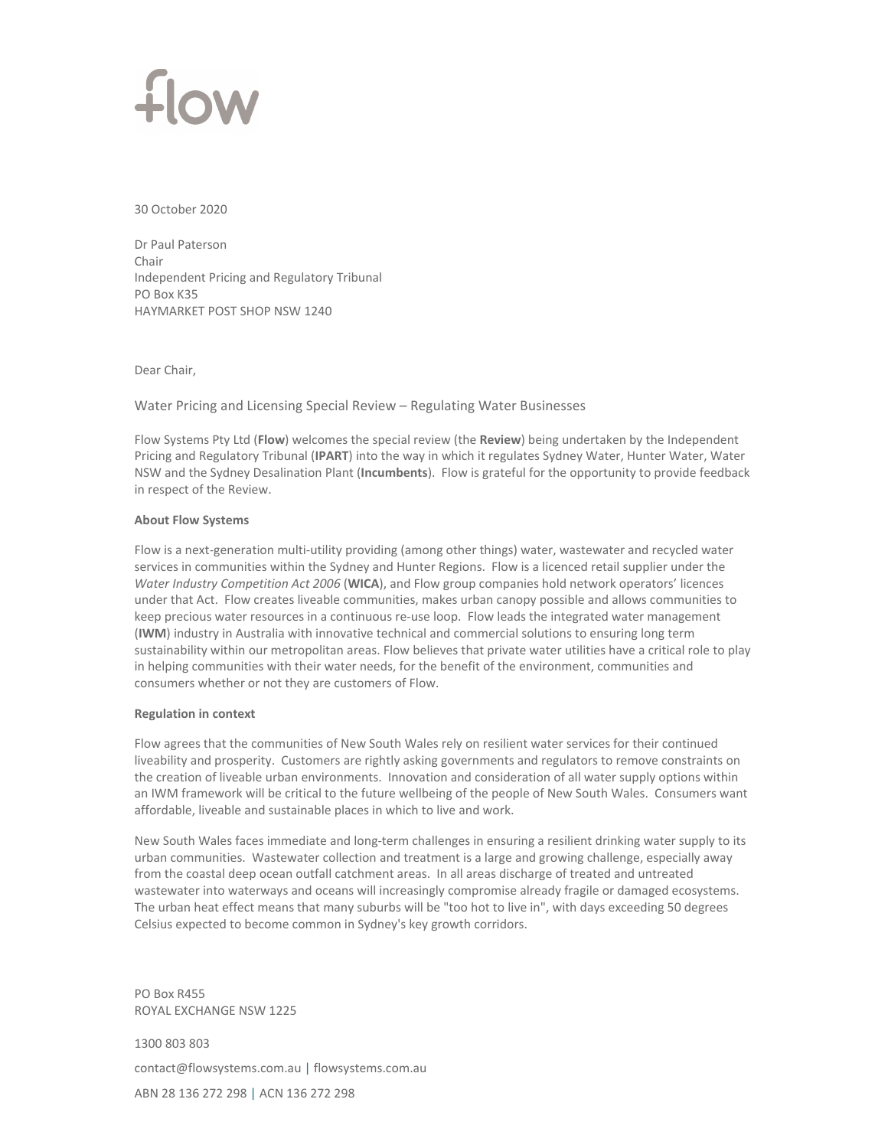

30 October 2020

Dr Paul Paterson Chair Independent Pricing and Regulatory Tribunal PO Box K35 HAYMARKET POST SHOP NSW 1240

Dear Chair,

Water Pricing and Licensing Special Review – Regulating Water Businesses

Flow Systems Pty Ltd (**Flow**) welcomes the special review (the **Review**) being undertaken by the Independent Pricing and Regulatory Tribunal (**IPART**) into the way in which it regulates Sydney Water, Hunter Water, Water NSW and the Sydney Desalination Plant (**Incumbents**). Flow is grateful for the opportunity to provide feedback in respect of the Review.

# **About Flow Systems**

Flow is a next-generation multi-utility providing (among other things) water, wastewater and recycled water services in communities within the Sydney and Hunter Regions. Flow is a licenced retail supplier under the *Water Industry Competition Act 2006* (**WICA**), and Flow group companies hold network operators' licences under that Act. Flow creates liveable communities, makes urban canopy possible and allows communities to keep precious water resources in a continuous re-use loop. Flow leads the integrated water management (**IWM**) industry in Australia with innovative technical and commercial solutions to ensuring long term sustainability within our metropolitan areas. Flow believes that private water utilities have a critical role to play in helping communities with their water needs, for the benefit of the environment, communities and consumers whether or not they are customers of Flow.

# **Regulation in context**

Flow agrees that the communities of New South Wales rely on resilient water services for their continued liveability and prosperity. Customers are rightly asking governments and regulators to remove constraints on the creation of liveable urban environments. Innovation and consideration of all water supply options within an IWM framework will be critical to the future wellbeing of the people of New South Wales. Consumers want affordable, liveable and sustainable places in which to live and work.

New South Wales faces immediate and long‐term challenges in ensuring a resilient drinking water supply to its urban communities. Wastewater collection and treatment is a large and growing challenge, especially away from the coastal deep ocean outfall catchment areas. In all areas discharge of treated and untreated wastewater into waterways and oceans will increasingly compromise already fragile or damaged ecosystems. The urban heat effect means that many suburbs will be "too hot to live in", with days exceeding 50 degrees Celsius expected to become common in Sydney's key growth corridors.

PO Box R455 ROYAL EXCHANGE NSW 1225

1300 803 803 contact@flowsystems.com.au | flowsystems.com.au ABN 28 136 272 298 | ACN 136 272 298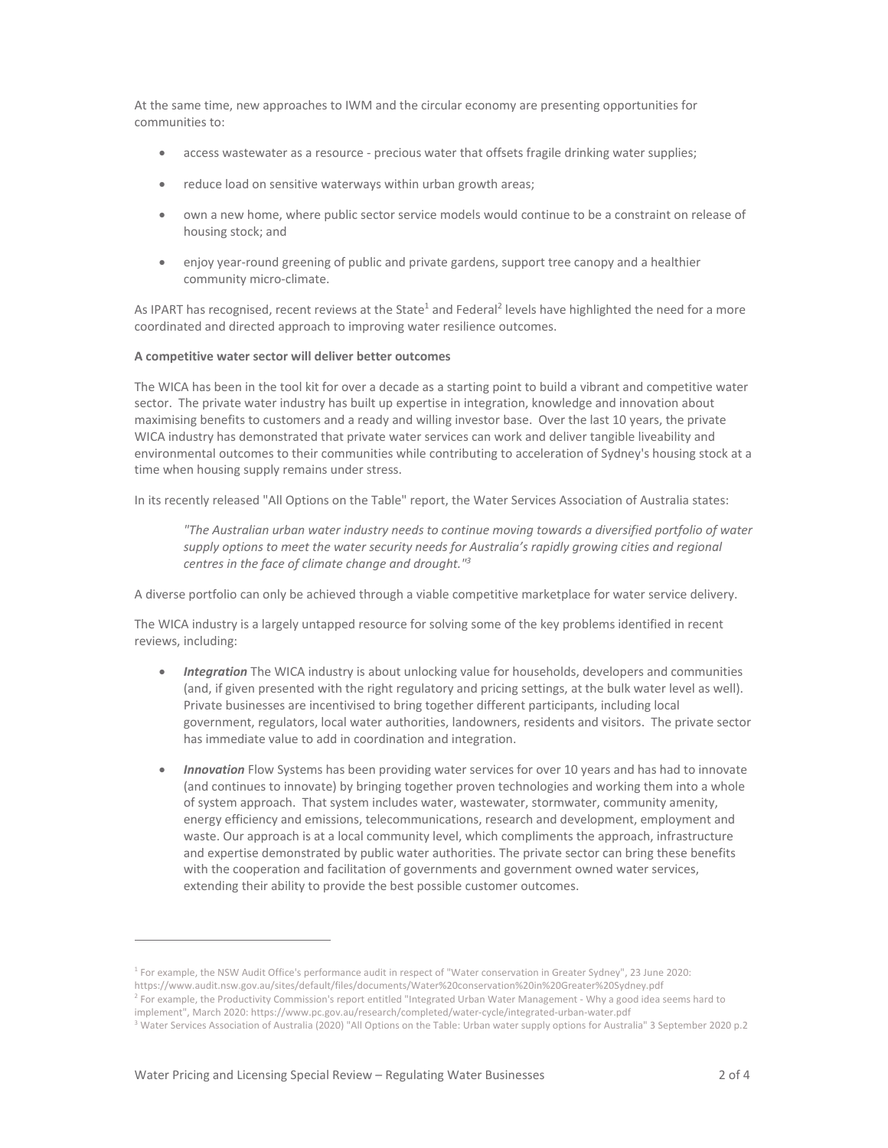At the same time, new approaches to IWM and the circular economy are presenting opportunities for communities to:

- access wastewater as a resource ‐ precious water that offsets fragile drinking water supplies;
- reduce load on sensitive waterways within urban growth areas;
- own a new home, where public sector service models would continue to be a constraint on release of housing stock; and
- enjoy year-round greening of public and private gardens, support tree canopy and a healthier community micro-climate.

As IPART has recognised, recent reviews at the State<sup>1</sup> and Federal<sup>2</sup> levels have highlighted the need for a more coordinated and directed approach to improving water resilience outcomes.

### **A competitive water sector will deliver better outcomes**

The WICA has been in the tool kit for over a decade as a starting point to build a vibrant and competitive water sector. The private water industry has built up expertise in integration, knowledge and innovation about maximising benefits to customers and a ready and willing investor base. Over the last 10 years, the private WICA industry has demonstrated that private water services can work and deliver tangible liveability and environmental outcomes to their communities while contributing to acceleration of Sydney's housing stock at a time when housing supply remains under stress.

In its recently released "All Options on the Table" report, the Water Services Association of Australia states:

*"The Australian urban water industry needs to continue moving towards a diversified portfolio of water supply options to meet the water security needs for Australia's rapidly growing cities and regional centres in the face of climate change and drought."3* 

A diverse portfolio can only be achieved through a viable competitive marketplace for water service delivery.

The WICA industry is a largely untapped resource for solving some of the key problems identified in recent reviews, including:

- *Integration* The WICA industry is about unlocking value for households, developers and communities (and, if given presented with the right regulatory and pricing settings, at the bulk water level as well). Private businesses are incentivised to bring together different participants, including local government, regulators, local water authorities, landowners, residents and visitors. The private sector has immediate value to add in coordination and integration.
- *Innovation* Flow Systems has been providing water services for over 10 years and has had to innovate (and continues to innovate) by bringing together proven technologies and working them into a whole of system approach. That system includes water, wastewater, stormwater, community amenity, energy efficiency and emissions, telecommunications, research and development, employment and waste. Our approach is at a local community level, which compliments the approach, infrastructure and expertise demonstrated by public water authorities. The private sector can bring these benefits with the cooperation and facilitation of governments and government owned water services, extending their ability to provide the best possible customer outcomes.

<sup>1</sup> For example, the NSW Audit Office's performance audit in respect of "Water conservation in Greater Sydney", 23 June 2020:

https://www.audit.nsw.gov.au/sites/default/files/documents/Water%20conservation%20in%20Greater%20Sydney.pdf

<sup>&</sup>lt;sup>2</sup> For example, the Productivity Commission's report entitled "Integrated Urban Water Management - Why a good idea seems hard to

implement", March 2020: https://www.pc.gov.au/research/completed/water‐cycle/integrated‐urban‐water.pdf

<sup>&</sup>lt;sup>3</sup> Water Services Association of Australia (2020) "All Options on the Table: Urban water supply options for Australia" 3 September 2020 p.2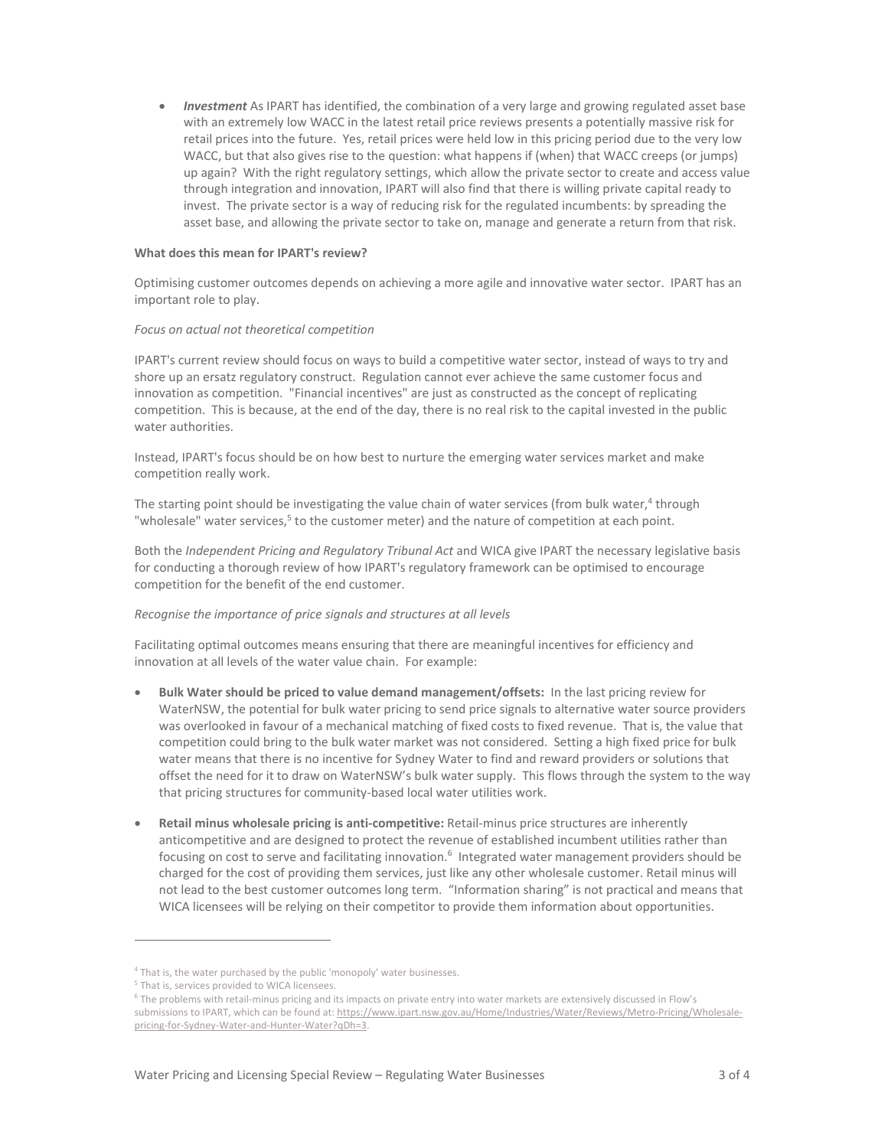*Investment* As IPART has identified, the combination of a very large and growing regulated asset base with an extremely low WACC in the latest retail price reviews presents a potentially massive risk for retail prices into the future. Yes, retail prices were held low in this pricing period due to the very low WACC, but that also gives rise to the question: what happens if (when) that WACC creeps (or jumps) up again? With the right regulatory settings, which allow the private sector to create and access value through integration and innovation, IPART will also find that there is willing private capital ready to invest. The private sector is a way of reducing risk for the regulated incumbents: by spreading the asset base, and allowing the private sector to take on, manage and generate a return from that risk.

### **What does this mean for IPART's review?**

Optimising customer outcomes depends on achieving a more agile and innovative water sector. IPART has an important role to play.

## *Focus on actual not theoretical competition*

IPART's current review should focus on ways to build a competitive water sector, instead of ways to try and shore up an ersatz regulatory construct. Regulation cannot ever achieve the same customer focus and innovation as competition. "Financial incentives" are just as constructed as the concept of replicating competition. This is because, at the end of the day, there is no real risk to the capital invested in the public water authorities.

Instead, IPART's focus should be on how best to nurture the emerging water services market and make competition really work.

The starting point should be investigating the value chain of water services (from bulk water,<sup>4</sup> through "wholesale" water services,<sup>5</sup> to the customer meter) and the nature of competition at each point.

Both the *Independent Pricing and Regulatory Tribunal Act* and WICA give IPART the necessary legislative basis for conducting a thorough review of how IPART's regulatory framework can be optimised to encourage competition for the benefit of the end customer.

# *Recognise the importance of price signals and structures at all levels*

Facilitating optimal outcomes means ensuring that there are meaningful incentives for efficiency and innovation at all levels of the water value chain. For example:

- **Bulk Water should be priced to value demand management/offsets:** In the last pricing review for WaterNSW, the potential for bulk water pricing to send price signals to alternative water source providers was overlooked in favour of a mechanical matching of fixed costs to fixed revenue. That is, the value that competition could bring to the bulk water market was not considered. Setting a high fixed price for bulk water means that there is no incentive for Sydney Water to find and reward providers or solutions that offset the need for it to draw on WaterNSW's bulk water supply. This flows through the system to the way that pricing structures for community‐based local water utilities work.
- **Retail minus wholesale pricing is anti‐competitive:** Retail‐minus price structures are inherently anticompetitive and are designed to protect the revenue of established incumbent utilities rather than focusing on cost to serve and facilitating innovation.<sup>6</sup> Integrated water management providers should be charged for the cost of providing them services, just like any other wholesale customer. Retail minus will not lead to the best customer outcomes long term. "Information sharing" is not practical and means that WICA licensees will be relying on their competitor to provide them information about opportunities.

<sup>&</sup>lt;sup>4</sup> That is, the water purchased by the public 'monopoly' water businesses.

<sup>&</sup>lt;sup>5</sup> That is, services provided to WICA licensees.

<sup>6</sup> The problems with retail‐minus pricing and its impacts on private entry into water markets are extensively discussed in Flow's submissions to IPART, which can be found at: https://www.ipart.nsw.gov.au/Home/Industries/Water/Reviews/Metro-Pricing/Wholesalepricing-for-Sydney-Water-and-Hunter-Water?qDh=3.